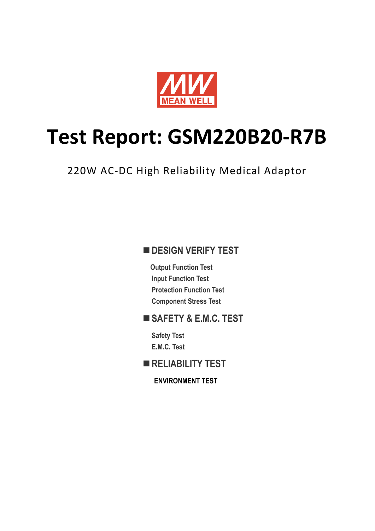

# **Test Report: GSM220B20-R7B**

220W AC-DC High Reliability Medical Adaptor

### **DESIGN VERIFY TEST**

**Output Function Test Input Function Test Protection Function Test Component Stress Test**

### **SAFETY & E.M.C. TEST**

**Safety Test E.M.C. Test**

**RELIABILITY TEST**

**ENVIRONMENT TEST**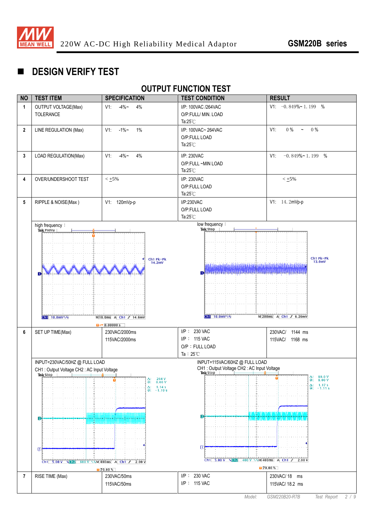

## **DESIGN VERIFY TEST**

#### **OUTPUT FUNCTION TEST**

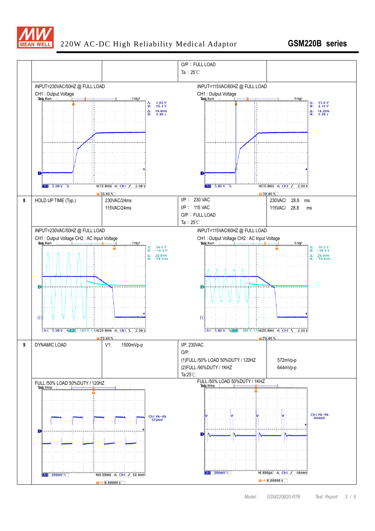

#### 220W AC-DC High Reliability Medical Adaptor **GSM220B series**

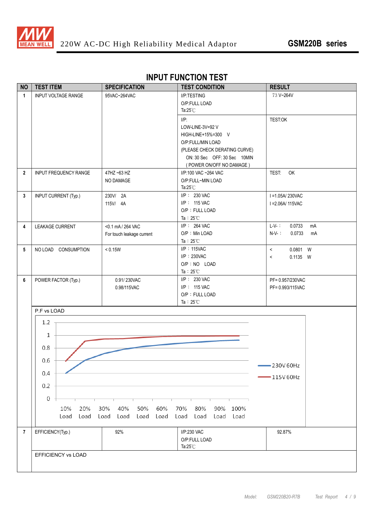

| <b>NO</b>      | <b>TEST ITEM</b>             | <b>SPECIFICATION</b>         | <b>TEST CONDITION</b>                  | <b>RESULT</b>            |
|----------------|------------------------------|------------------------------|----------------------------------------|--------------------------|
| $\mathbf{1}$   | <b>INPUT VOLTAGE RANGE</b>   | 95VAC~264VAC                 | I/P:TESTING<br>O/P:FULL LOAD           | 73 V~264V                |
|                |                              |                              | Ta: $25^{\circ}$ C                     |                          |
|                |                              |                              | $I/P$ :                                | TEST:OK                  |
|                |                              |                              | LOW-LINE-3V=92V<br>HIGH-LINE+15%=300 V |                          |
|                |                              |                              | O/P:FULL/MIN LOAD                      |                          |
|                |                              |                              | (PLEASE CHECK DERATING CURVE)          |                          |
|                |                              |                              | ON: 30 Sec OFF: 30 Sec 10MIN           |                          |
|                |                              |                              | (POWER ON/OFF NO DAMAGE)               |                          |
| $\overline{2}$ | <b>INPUT FREQUENCY RANGE</b> | 47HZ ~63 HZ                  | I/P:100 VAC ~264 VAC                   | TEST:<br>OK              |
|                |                              | NO DAMAGE                    | O/P:FULL~MIN LOAD                      |                          |
|                |                              |                              | Ta: $25^{\circ}$ C                     |                          |
| 3              | <b>INPUT CURRENT (Typ.)</b>  | 230V/ 2A                     | I/P: 230 VAC<br>I/P: 115 VAC           | I = 1.05A/230VAC         |
|                |                              | 115V/ 4A                     | O/P: FULL LOAD                         | I = 2.06A/ 115VAC        |
|                |                              |                              | Ta: $25^{\circ}$ C                     |                          |
| 4              | LEAKAGE CURRENT              | <0.1 mA / 264 VAC            | I/P: 264 VAC                           | $L-V-$ :<br>0.0733<br>mA |
|                |                              | For touch leakage current    | O/P: Min LOAD                          | 0.0733<br>$N-V-$ :<br>mA |
|                |                              |                              | Ta: $25^{\circ}$ C                     |                          |
| 5              | NO LOAD CONSUMPTION          | $< 0.15W$                    | $I/P$ : 115VAC                         | $\,<\,$<br>0.0801 W      |
|                |                              |                              | $I/P$ : 230VAC                         | 0.1135 W<br>$\,<\,$      |
|                |                              |                              | O/P : NO LOAD<br>Ta: $25^{\circ}$ C    |                          |
| 6              | POWER FACTOR (Typ.)          | 0.91/230VAC                  | I/P: 230 VAC                           | PF= 0.957/230VAC         |
|                |                              | 0.98/115VAC                  | I/P: 115 VAC                           | PF= 0.993/115VAC         |
|                |                              |                              | O/P: FULL LOAD                         |                          |
|                |                              |                              | Ta: $25^{\circ}$ C                     |                          |
|                | P.F vs LOAD                  |                              |                                        |                          |
|                | 1.2                          |                              |                                        |                          |
|                |                              |                              |                                        |                          |
|                | 1                            |                              |                                        |                          |
|                | 0.8                          |                              |                                        |                          |
|                |                              |                              |                                        |                          |
|                | 0.6                          |                              |                                        | $-230V60Hz$              |
|                | 0.4                          |                              |                                        | $-115V60Hz$              |
|                | 0.2                          |                              |                                        |                          |
|                |                              |                              |                                        |                          |
|                | 0                            |                              |                                        |                          |
|                | 10%<br>20%                   | 50%<br>60%<br>30%<br>40%     | 70%<br>80%<br>90%<br>100%              |                          |
|                | Load<br>Load                 | Load<br>Load<br>Load<br>Load | Load<br>Load<br>Load Load              |                          |
|                |                              |                              |                                        |                          |
| $\overline{7}$ | EFFICIENCY(Typ.)             | 92%                          | I/P:230 VAC<br>O/P:FULL LOAD           | 92.87%                   |
|                |                              |                              | Ta: $25^{\circ}$ C                     |                          |
|                | <b>EFFICIENCY vs LOAD</b>    |                              |                                        |                          |
|                |                              |                              |                                        |                          |
|                |                              |                              |                                        |                          |

#### **INPUT FUNCTION TEST**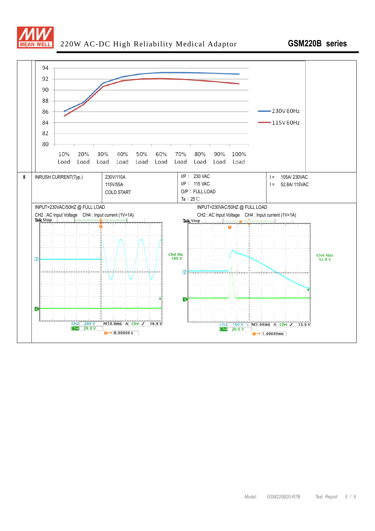

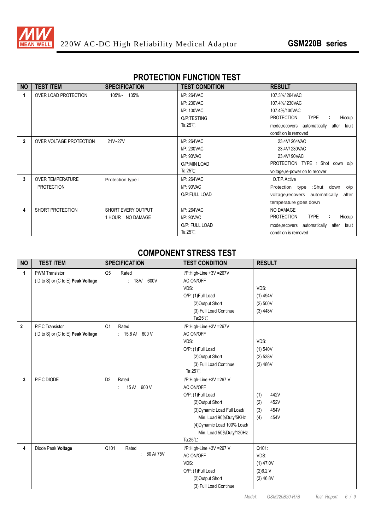

#### **PROTECTION FUNCTION TEST**

| <b>NO</b>      | <b>TEST ITEM</b>        | <b>SPECIFICATION</b>      | <b>TEST CONDITION</b> | <b>RESULT</b>                                  |
|----------------|-------------------------|---------------------------|-----------------------|------------------------------------------------|
| 1              | OVER LOAD PROTECTION    | 105%~ 135%                | I/P: 264VAC           | 107.3%/264VAC                                  |
|                |                         |                           | I/P: 230VAC           | 107.4%/230VAC                                  |
|                |                         |                           | I/P: 100VAC           | 107.4%/100VAC                                  |
|                |                         |                           | O/P:TESTING           | <b>PROTECTION</b><br><b>TYPE</b><br>Hiccup     |
|                |                         |                           | Ta: $25^{\circ}$ C    | mode, recovers automatically<br>after<br>fault |
|                |                         |                           |                       | condition is removed                           |
| $\overline{2}$ | OVER VOLTAGE PROTECTION | 21V~27V                   | $I/P: 264$ VAC        | 23.4V/264VAC                                   |
|                |                         |                           | I/P: 230VAC           | 23.4V/230VAC                                   |
|                |                         |                           | I/P: 90VAC            | 23.4V/90VAC                                    |
|                |                         |                           | O/P:MIN LOAD          | PROTECTION TYPE : Shot down o/p                |
|                |                         |                           | Ta: $25^{\circ}$ C    | voltage, re-power on to recover                |
| 3              | <b>OVER TEMPERATURE</b> | Protection type:          | I/P: 264VAC           | O.T.P. Active                                  |
|                | <b>PROTECTION</b>       |                           | I/P: 90VAC            | Protection type :Shut down o/p                 |
|                |                         |                           | O/P:FULL LOAD         | voltage, recovers automatically<br>after       |
|                |                         |                           |                       | temperature goes down                          |
| 4              | SHORT PROTECTION        | <b>SHORT EVERY OUTPUT</b> | I/P: 264VAC           | NO DAMAGE                                      |
|                |                         | 1 HOUR NO DAMAGE          | I/P: 90VAC            | <b>TYPE</b><br><b>PROTECTION</b><br>Hiccup     |
|                |                         |                           | O/P: FULL LOAD        | mode, recovers automatically<br>fault<br>after |
|                |                         |                           | Ta: $25^{\circ}$ C    | condition is removed                           |

#### **COMPONENT STRESS TEST**

| <b>NO</b>    | <b>TEST ITEM</b>                                           | <b>SPECIFICATION</b>                      | <b>TEST CONDITION</b><br><b>RESULT</b>                                                                                                                                                                                  |                                                          |
|--------------|------------------------------------------------------------|-------------------------------------------|-------------------------------------------------------------------------------------------------------------------------------------------------------------------------------------------------------------------------|----------------------------------------------------------|
| $\mathbf{1}$ | <b>PWM Transistor</b><br>(D to S) or (C to E) Peak Voltage | Q <sub>5</sub><br>Rated<br>: 18A/<br>600V | I/P:High-Line +3V =267V<br>AC ON/OFF<br>VDS:<br>O/P: (1)Full Load<br>(2) Output Short<br>(3) Full Load Continue<br>Ta: $25^{\circ}$ C                                                                                   | VDS:<br>(1) 494V<br>(2) 500V<br>(3) 448V                 |
| $\mathbf 2$  | P.F.C Transistor<br>(D to S) or (C to E) Peak Voltage      | Q1<br>Rated<br>: 15.8 A/<br>600 V         | I/P:High-Line +3V =267V<br>AC ON/OFF<br>VDS:<br>O/P: (1)Full Load<br>(2) Output Short<br>(3) Full Load Continue<br>Ta: $25^{\circ}$ C                                                                                   | VDS:<br>(1) 540V<br>(2) 538V<br>(3) 486V                 |
| 3            | P.F.C DIODE                                                | D <sub>2</sub><br>Rated<br>15 A/ 600 V    | I/P:High-Line +3V =267 V<br>AC ON/OFF<br>O/P: (1)Full Load<br>(2) Output Short<br>(3) Dynamic Load Full Load/<br>Min. Load 90%Duty/5KHz<br>(4) Dynamic Load 100% Load/<br>Min. Load 50%Duty/120Hz<br>Ta: $25^{\circ}$ C | 442V<br>(1)<br>452V<br>(2)<br>454V<br>(3)<br>454V<br>(4) |
| 4            | Diode Peak Voltage                                         | Q101<br>Rated<br>80 A/ 75V<br>÷.          | I/P:High-Line +3V =267 V<br>AC ON/OFF<br>VDS:<br>O/P: (1)Full Load<br>(2) Output Short<br>(3) Full Load Continue                                                                                                        | Q101:<br>VDS:<br>$(1)$ 47.0V<br>(2)6.2 V<br>$(3)$ 46.8V  |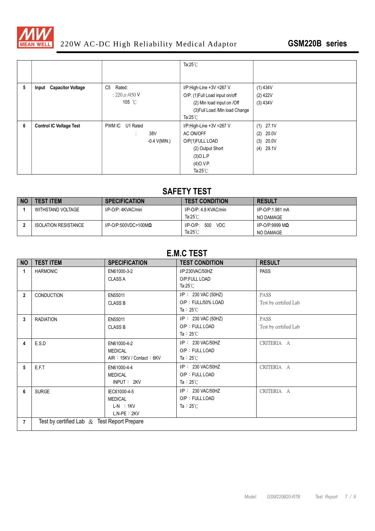

# 220W AC-DC High Reliability Medical Adaptor **GSM220B series**

|   |                                |                           | Ta: $25^{\circ}$ C              |              |
|---|--------------------------------|---------------------------|---------------------------------|--------------|
|   |                                |                           |                                 |              |
| 5 | Input Capacitor Voltage        | C <sub>5</sub><br>Rated:  | I/P:High-Line +3V =267 V        | $(1)$ 434V   |
|   |                                | $: 220 \mu$ /450 V        | O/P: (1) Full Load input on/off | $(2)$ 422V   |
|   |                                | 105 °C                    | (2) Min load input on /Off      | (3) 434V     |
|   |                                |                           | (3) Full Load /Min load Change  |              |
|   |                                |                           | Ta: $25^{\circ}$ C              |              |
| 6 | <b>Control IC Voltage Test</b> | <b>PWM IC</b><br>U1 Rated | I/P:High-Line +3V =267 V        | (1)<br>27.1V |
|   |                                | 38V                       | AC ON/OFF                       | 20.0V<br>(2) |
|   |                                | $-0.4$ V(MIN.)            | O/P(1)FULL LOAD                 | (3)<br>20.0V |
|   |                                |                           | (2) Output Short                | (4)<br>29.1V |
|   |                                |                           | $(3)$ O.L.P                     |              |
|   |                                |                           | $(4)$ O.V.P.                    |              |
|   |                                |                           | Ta: $25^{\circ}$ C              |              |

### **SAFETY TEST**

| <b>NO</b> | <b>TEST ITEM</b>            | <b>SPECIFICATION</b>            | <b>TEST CONDITION</b>            | <b>RESULT</b>           |
|-----------|-----------------------------|---------------------------------|----------------------------------|-------------------------|
|           | WITHSTAND VOLTAGE           | I/P-O/P: 4KVAC/min              | $I/P$ -O/P: 4.8 KVAC/min         | I/P-O/P:1.981 mA        |
|           |                             |                                 | Ta: $25^{\circ}$ C               | NO DAMAGE               |
|           | <b>ISOLATION RESISTANCE</b> | $I/P$ -O/P:500VDC>100M $\Omega$ | <b>VDC</b><br>500<br>$I/P-O/P$ : | I/P-O/P:9999 M $\Omega$ |
|           |                             |                                 | Ta: $25^{\circ}$ C               | NO DAMAGE               |

### **E.M.C TEST**

| <b>NO</b>      | <b>TEST ITEM</b>                               | <b>SPECIFICATION</b>          | <b>TEST CONDITION</b>            | <b>RESULT</b>         |
|----------------|------------------------------------------------|-------------------------------|----------------------------------|-----------------------|
| $\mathbf{1}$   | <b>HARMONIC</b>                                | EN61000-3-2<br><b>CLASS A</b> | I/P:230VAC/50HZ<br>O/P:FULL LOAD | <b>PASS</b>           |
|                |                                                |                               | Ta: $25^{\circ}$ C               |                       |
| $\overline{2}$ | CONDUCTION                                     | EN55011                       | I/P: 230 VAC (50HZ)              | PASS                  |
|                |                                                | <b>CLASS B</b>                | O/P: FULL/50% LOAD               | Test by certified Lab |
|                |                                                |                               | Ta: $25^{\circ}$ C               |                       |
| 3              | <b>RADIATION</b>                               | EN55011                       | $I/P$ : 230 VAC (50HZ)           | <b>PASS</b>           |
|                |                                                | <b>CLASS B</b>                | O/P: FULL LOAD                   | Test by certified Lab |
|                |                                                |                               | Ta: $25^{\circ}$ C               |                       |
| 4              | E.S.D                                          | EN61000-4-2                   | I/P: 230 VAC/50HZ                | CRITERIA A            |
|                |                                                | <b>MEDICAL</b>                | O/P: FULL LOAD                   |                       |
|                |                                                | AIR: 15KV / Contact: 6KV      | Ta: $25^{\circ}$ C               |                       |
| 5              | E.F.T                                          | EN61000-4-4                   | I/P: 230 VAC/50HZ                | CRITERIA A            |
|                |                                                | <b>MEDICAL</b>                | O/P: FULL LOAD                   |                       |
|                |                                                | INPUT: 2KV                    | Ta: $25^{\circ}$ C               |                       |
| 6              | <b>SURGE</b>                                   | IEC61000-4-5                  | I/P: 230 VAC/50HZ                | CRITERIA A            |
|                |                                                | <b>MEDICAL</b>                | O/P: FULL LOAD                   |                       |
|                |                                                | $L-N$ : 1KV                   | Ta: $25^{\circ}$ C               |                       |
|                |                                                | $L, N-PE : 2KV$               |                                  |                       |
| $\overline{7}$ | Test by certified Lab $\&$ Test Report Prepare |                               |                                  |                       |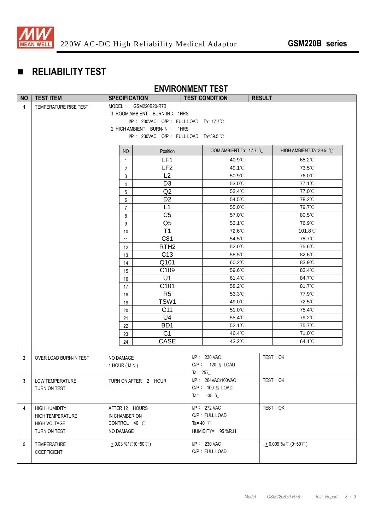

# **RELIABILITY TEST**

#### **ENVIRONMENT TEST**

| <b>NO</b>      | <b>TEST ITEM</b>       | <b>SPECIFICATION</b>                    |                                       |                    | <b>TEST CONDITION</b>           | <b>RESULT</b>                               |
|----------------|------------------------|-----------------------------------------|---------------------------------------|--------------------|---------------------------------|---------------------------------------------|
| $\overline{1}$ | TEMPERATURE RISE TEST  |                                         | MODEL: GSM220B20-R7B                  |                    |                                 |                                             |
|                |                        | 1. ROOM AMBIENT BURN-IN: 1HRS           |                                       |                    |                                 |                                             |
|                |                        | $I/P$ : 230VAC O/P: FULL LOAD Ta=17.7°C |                                       |                    |                                 |                                             |
|                |                        |                                         | 2. HIGH AMBIENT BURN-IN: 1HRS         |                    |                                 |                                             |
|                |                        |                                         | I/P: 230VAC O/P: FULL LOAD Ta=39.5 °C |                    |                                 |                                             |
|                |                        | NO                                      | Position                              |                    | OOM AMBIENT Ta= 17.7 °C         | HIGH AMBIENT Ta=39.5 °C                     |
|                |                        | $\mathbf{1}$                            | LF <sub>1</sub>                       |                    | 40.9°C                          | 65.2°C                                      |
|                |                        | $\overline{2}$                          | LF <sub>2</sub>                       |                    | 49.1°C                          | 73.5°C                                      |
|                |                        | 3                                       | L2                                    |                    | 50.9°C                          | 76.0°C                                      |
|                |                        | $\overline{4}$                          | D <sub>3</sub>                        |                    | 53.0°C                          | 77.1°C                                      |
|                |                        | 5                                       | Q <sub>2</sub>                        |                    | 53.4°C                          | 77.0°C                                      |
|                |                        | 6                                       | D <sub>2</sub>                        |                    | 54.5°C                          | 78.2°C                                      |
|                |                        | $\overline{7}$                          | L1                                    |                    | 55.0°C                          | 79.7°C                                      |
|                |                        | 8                                       | C <sub>5</sub>                        |                    | 57.0°C                          | 80.5°C                                      |
|                |                        | 9                                       | Q <sub>5</sub>                        |                    | 53.1°C                          | 76.9°C                                      |
|                |                        | 10                                      | T1                                    |                    | 72.6°C                          | 101.8°C                                     |
|                |                        | 11                                      | C81                                   |                    | 54.5°C                          | 78.7°C                                      |
|                |                        | 12                                      | RTH <sub>2</sub>                      |                    | 52.0°C                          | 75.6°C                                      |
|                |                        | 13                                      | C <sub>13</sub>                       |                    | 58.5°C                          | 82.6°C                                      |
|                |                        | 14                                      | Q101                                  |                    | 60.2°C                          | 83.9°C                                      |
|                |                        | 15                                      | C109                                  |                    | 59.6°C                          | 83.4°C                                      |
|                |                        | 16                                      | U1                                    |                    | $61.4^{\circ}$ C                | 84.7°C                                      |
|                |                        | 17                                      | C <sub>101</sub>                      |                    | 58.2°C                          | 81.7°C                                      |
|                |                        | 18                                      | R <sub>5</sub>                        |                    | 53.3°C                          | 77.9°C                                      |
|                |                        | 19                                      | TSW1                                  |                    | 49.0°C                          | 72.5°C                                      |
|                |                        | 20                                      | C11                                   |                    | 51.0°C                          | 75.4°C                                      |
|                |                        | 21                                      | U <sub>4</sub>                        |                    | 55.4°C                          | 79.2°C                                      |
|                |                        | 22                                      | BD <sub>1</sub>                       |                    | 52.1°C                          | 75.7°C                                      |
|                |                        | 23                                      | C <sub>1</sub>                        |                    | 46.4°C                          | 71.0°C                                      |
|                |                        | 24                                      | CASE                                  |                    | 43.2°C                          | 64.1°C                                      |
|                |                        |                                         |                                       |                    |                                 |                                             |
| $\overline{2}$ | OVER LOAD BURN-IN TEST | NO DAMAGE                               |                                       |                    | I/P: 230 VAC<br>O/P: 120 % LOAD | TEST: OK                                    |
|                |                        | 1 HOUR (MIN)                            |                                       | Ta: $25^{\circ}$ C |                                 |                                             |
| 3              | LOW TEMPERATURE        |                                         | TURN ON AFTER 2 HOUR                  |                    | I/P: 264VAC/100VAC              | TEST: OK                                    |
|                | TURN ON TEST           |                                         |                                       |                    | O/P: 100 % LOAD                 |                                             |
|                |                        |                                         |                                       |                    | Ta= $-35$ °C                    |                                             |
|                |                        |                                         |                                       |                    |                                 |                                             |
| 4              | <b>HIGH HUMIDITY</b>   | AFTER 12 HOURS                          |                                       |                    | I/P: 272 VAC                    | TEST: OK                                    |
|                | HIGH TEMPERATURE       | IN CHAMBER ON                           |                                       |                    | O/P: FULL LOAD                  |                                             |
|                | <b>HIGH VOLTAGE</b>    | CONTROL 40 °C                           |                                       | Ta=40 $^{\circ}$ C |                                 |                                             |
|                | TURN ON TEST           | NO DAMAGE                               |                                       |                    | HUMIDITY= 95 %R.H               |                                             |
| 5              | <b>TEMPERATURE</b>     | $+0.03\%$ °C (0~50°C)                   |                                       |                    | I/P: 230 VAC                    | $+0.009\%$ / $^{\circ}$ (0~50 $^{\circ}$ C) |
|                | <b>COEFFICIENT</b>     |                                         |                                       |                    | O/P: FULL LOAD                  |                                             |
|                |                        |                                         |                                       |                    |                                 |                                             |